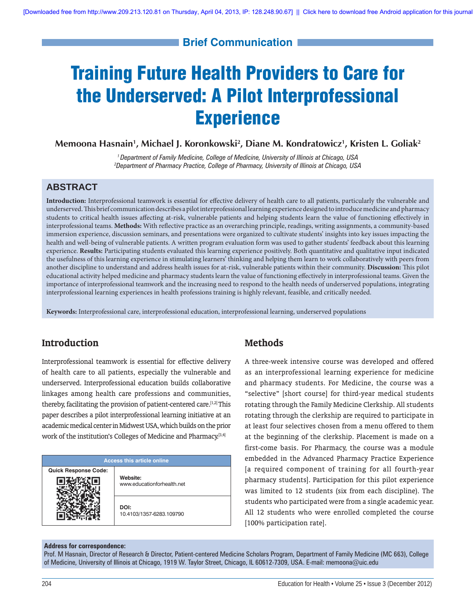# **Brief Communication**

# Training Future Health Providers to Care for the Underserved: A Pilot Interprofessional **Experience**

**Memoona Hasnain1 , Michael J. Koronkowski2 , Diane M. Kondratowicz1 , Kristen L. Goliak2**

*1 Department of Family Medicine, College of Medicine, University of Illinois at Chicago, USA 2 Department of Pharmacy Practice, College of Pharmacy, University of Illinois at Chicago, USA*

# **ABSTRACT**

Introduction: Interprofessional teamwork is essential for effective delivery of health care to all patients, particularly the vulnerable and underserved. This brief communication describes a pilot interprofessional learning experience designed to introduce medicine and pharmacy students to critical health issues affecting at-risk, vulnerable patients and helping students learn the value of functioning effectively in interprofessional teams. Methods: With reflective practice as an overarching principle, readings, writing assignments, a community-based immersion experience, discussion seminars, and presentations were organized to cultivate students' insights into key issues impacting the health and well-being of vulnerable patients. A written program evaluation form was used to gather students' feedback about this learning experience. **Results:** Participating students evaluated this learning experience positively. Both quantitative and qualitative input indicated the usefulness of this learning experience in stimulating learners' thinking and helping them learn to work collaboratively with peers from another discipline to understand and address health issues for at-risk, vulnerable patients within their community. Discussion: This pilot educational activity helped medicine and pharmacy students learn the value of functioning effectively in interprofessional teams. Given the importance of interprofessional teamwork and the increasing need to respond to the health needs of underserved populations, integrating interprofessional learning experiences in health professions training is highly relevant, feasible, and critically needed.

**Keywords:** Interprofessional care, interprofessional education, interprofessional learning, underserved populations

## **Introduction**

Interprofessional teamwork is essential for effective delivery of health care to all patients, especially the vulnerable and underserved. Interprofessional education builds collaborative linkages among health care professions and communities, thereby, facilitating the provision of patient-centered care.[1,2] This paper describes a pilot interprofessional learning initiative at an academic medical center in Midwest USA, which builds on the prior work of the institution's Colleges of Medicine and Pharmacy.<sup>[3,4]</sup>

| <b>Access this article online</b> |                                  |  |
|-----------------------------------|----------------------------------|--|
| <b>Quick Response Code:</b>       | Website:                         |  |
|                                   | www.educationforhealth.net       |  |
|                                   | DOI:<br>10.4103/1357-6283.109790 |  |

## **Methods**

A three-week intensive course was developed and offered as an interprofessional learning experience for medicine and pharmacy students. For Medicine, the course was a "selective" [short course] for third-year medical students rotating through the Family Medicine Clerkship. All students rotating through the clerkship are required to participate in at least four selectives chosen from a menu offered to them at the beginning of the clerkship. Placement is made on a first-come basis. For Pharmacy, the course was a module embedded in the Advanced Pharmacy Practice Experience [a required component of training for all fourth-year pharmacy students]. Participation for this pilot experience was limited to 12 students (six from each discipline). The students who participated were from a single academic year. All 12 students who were enrolled completed the course [100% participation rate].

#### **Address for correspondence:**

Prof. M Hasnain, Director of Research & Director, Patient-centered Medicine Scholars Program, Department of Family Medicine (MC 663), College of Medicine, University of Illinois at Chicago, 1919 W. Taylor Street, Chicago, IL 60612-7309, USA. E-mail: memoona@uic.edu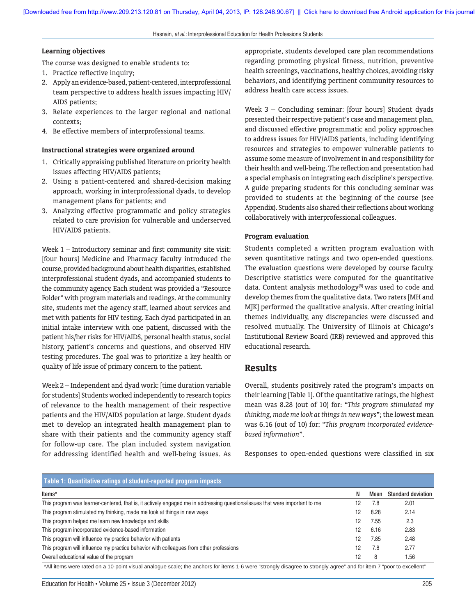Hasnain, *et al*.: Interprofessional Education for Health Professions Students

#### **Learning objectives**

The course was designed to enable students to:

- 1. Practice reflective inquiry;
- 2. Apply an evidence-based, patient-centered, interprofessional team perspective to address health issues impacting HIV/ AIDS patients;
- 3. Relate experiences to the larger regional and national contexts;
- 4. Be effective members of interprofessional teams.

#### **Instructional strategies were organized around**

- 1. Critically appraising published literature on priority health issues affecting HIV/AIDS patients;
- 2. Using a patient-centered and shared-decision making approach, working in interprofessional dyads, to develop management plans for patients; and
- 3. Analyzing effective programmatic and policy strategies related to care provision for vulnerable and underserved HIV/AIDS patients.

Week 1 – Introductory seminar and first community site visit: [four hours] Medicine and Pharmacy faculty introduced the course, provided background about health disparities, established interprofessional student dyads, and accompanied students to the community agency. Each student was provided a "Resource Folder" with program materials and readings. At the community site, students met the agency staff, learned about services and met with patients for HIV testing. Each dyad participated in an initial intake interview with one patient, discussed with the patient his/her risks for HIV/AIDS, personal health status, social history, patient's concerns and questions, and observed HIV testing procedures. The goal was to prioritize a key health or quality of life issue of primary concern to the patient.

Week 2 – Independent and dyad work: [time duration variable for students] Students worked independently to research topics of relevance to the health management of their respective patients and the HIV/AIDS population at large. Student dyads met to develop an integrated health management plan to share with their patients and the community agency staff for follow-up care. The plan included system navigation for addressing identified health and well-being issues. As

appropriate, students developed care plan recommendations regarding promoting physical fitness, nutrition, preventive health screenings, vaccinations, healthy choices, avoiding risky behaviors, and identifying pertinent community resources to address health care access issues.

Week 3 – Concluding seminar: [four hours] Student dyads presented their respective patient's case and management plan, and discussed effective programmatic and policy approaches to address issues for HIV/AIDS patients, including identifying resources and strategies to empower vulnerable patients to assume some measure of involvement in and responsibility for their health and well-being. The reflection and presentation had a special emphasis on integrating each discipline's perspective. A guide preparing students for this concluding seminar was provided to students at the beginning of the course (see Appendix). Students also shared their reflections about working collaboratively with interprofessional colleagues.

#### **Program evaluation**

Students completed a written program evaluation with seven quantitative ratings and two open-ended questions. The evaluation questions were developed by course faculty. Descriptive statistics were computed for the quantitative data. Content analysis methodology<sup>[5]</sup> was used to code and develop themes from the qualitative data. Two raters [MH and MJK] performed the qualitative analysis. After creating initial themes individually, any discrepancies were discussed and resolved mutually. The University of Illinois at Chicago's Institutional Review Board (IRB) reviewed and approved this educational research.

### **Results**

Overall, students positively rated the program's impacts on their learning [Table 1]. Of the quantitative ratings, the highest mean was 8.28 (out of 10) for: "*This program stimulated my thinking, made me look at things in new ways*"; the lowest mean was 6.16 (out of 10) for: "*This program incorporated evidencebased information*".

Responses to open-ended questions were classified in six

| Table 1: Quantitative ratings of student-reported program impacts                                                           |                 |      |                           |  |
|-----------------------------------------------------------------------------------------------------------------------------|-----------------|------|---------------------------|--|
| Items*                                                                                                                      | N               | Mean | <b>Standard deviation</b> |  |
| This program was learner-centered, that is, it actively engaged me in addressing questions/issues that were important to me | 12              | 7.8  | 2.01                      |  |
| This program stimulated my thinking, made me look at things in new ways                                                     | 12              | 8.28 | 2.14                      |  |
| This program helped me learn new knowledge and skills                                                                       | 12              | 7.55 | 2.3                       |  |
| This program incorporated evidence-based information                                                                        | 12 <sup>2</sup> | 6.16 | 2.83                      |  |
| This program will influence my practice behavior with patients                                                              | 12              | 7.85 | 2.48                      |  |
| This program will influence my practice behavior with colleagues from other professions                                     | 12              | 7.8  | 2.77                      |  |
| Overall educational value of the program                                                                                    | 12              | 8    | 1.56                      |  |

\*All items were rated on a 10-point visual analogue scale; the anchors for items 1-6 were "strongly disagree to strongly agree" and for item 7 "poor to excellent"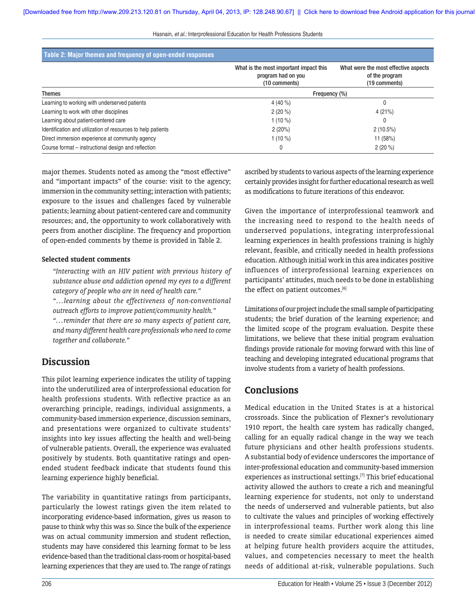Hasnain, *et al*.: Interprofessional Education for Health Professions Students

| Table 2: Major themes and frequency of open-ended responses  |                                                                               |                                                                         |  |  |
|--------------------------------------------------------------|-------------------------------------------------------------------------------|-------------------------------------------------------------------------|--|--|
|                                                              | What is the most important impact this<br>program had on you<br>(10 comments) | What were the most effective aspects<br>of the program<br>(19 comments) |  |  |
| <b>Themes</b>                                                | Frequency (%)                                                                 |                                                                         |  |  |
| Learning to working with underserved patients                | 4 (40 %)                                                                      |                                                                         |  |  |
| Learning to work with other disciplines                      | $2(20\%)$                                                                     | 4(21%)                                                                  |  |  |
| Learning about patient-centered care                         | 1 $(10\%)$                                                                    |                                                                         |  |  |
| Identification and utilization of resources to help patients | 2(20%)                                                                        | 2(10.5%)                                                                |  |  |
| Direct immersion experience at community agency              | 1 $(10\%)$                                                                    | 11 (58%)                                                                |  |  |
| Course format – instructional design and reflection          | 0                                                                             | $2(20\%)$                                                               |  |  |

major themes. Students noted as among the "most effective" and "important impacts" of the course: visit to the agency; immersion in the community setting; interaction with patients; exposure to the issues and challenges faced by vulnerable patients; learning about patient-centered care and community resources; and, the opportunity to work collaboratively with peers from another discipline. The frequency and proportion of open-ended comments by theme is provided in Table 2.

#### **Selected student comments**

 *"Interacting with an HIV patient with previous history of substance abuse and addiction opened my eyes to a different category of people who are in need of health care."*

 *"…learning about the effectiveness of non-conventional outreach efforts to improve patient/community health."*

 *"…reminder that there are so many aspects of patient care, and many different health care professionals who need to come together and collaborate."*

## **Discussion**

This pilot learning experience indicates the utility of tapping into the underutilized area of interprofessional education for health professions students. With reflective practice as an overarching principle, readings, individual assignments, a community-based immersion experience, discussion seminars, and presentations were organized to cultivate students' insights into key issues affecting the health and well-being of vulnerable patients. Overall, the experience was evaluated positively by students. Both quantitative ratings and openended student feedback indicate that students found this learning experience highly beneficial.

The variability in quantitative ratings from participants, particularly the lowest ratings given the item related to incorporating evidence-based information, gives us reason to pause to think why this was so. Since the bulk of the experience was on actual community immersion and student reflection, students may have considered this learning format to be less evidence-based than the traditional class-room or hospital-based learning experiences that they are used to. The range of ratings ascribed by students to various aspects of the learning experience certainly provides insight for further educational research as well as modifications to future iterations of this endeavor.

Given the importance of interprofessional teamwork and the increasing need to respond to the health needs of underserved populations, integrating interprofessional learning experiences in health professions training is highly relevant, feasible, and critically needed in health professions education. Although initial work in this area indicates positive influences of interprofessional learning experiences on participants' attitudes, much needs to be done in establishing the effect on patient outcomes.<sup>[6]</sup>

Limitations of our project include the small sample of participating students; the brief duration of the learning experience; and the limited scope of the program evaluation. Despite these limitations, we believe that these initial program evaluation findings provide rationale for moving forward with this line of teaching and developing integrated educational programs that involve students from a variety of health professions.

## **Conclusions**

Medical education in the United States is at a historical crossroads. Since the publication of Flexner's revolutionary 1910 report, the health care system has radically changed, calling for an equally radical change in the way we teach future physicians and other health professions students. A substantial body of evidence underscores the importance of inter-professional education and community-based immersion experiences as instructional settings.<sup>[7]</sup> This brief educational activity allowed the authors to create a rich and meaningful learning experience for students, not only to understand the needs of underserved and vulnerable patients, but also to cultivate the values and principles of working effectively in interprofessional teams. Further work along this line is needed to create similar educational experiences aimed at helping future health providers acquire the attitudes, values, and competencies necessary to meet the health needs of additional at-risk, vulnerable populations. Such